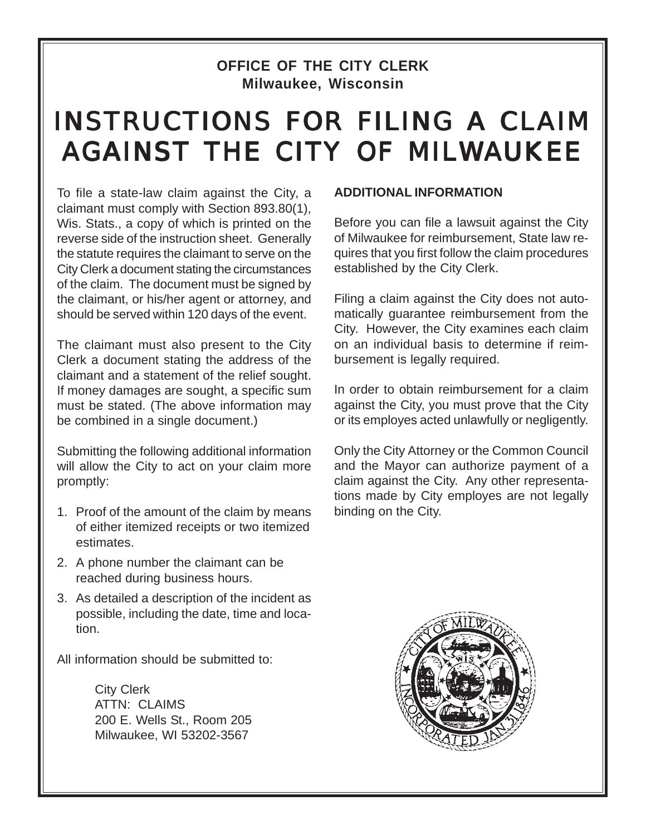## **OFFICE OF THE CITY CLERK Milwaukee, Wisconsin**

## INSTRUCTIONS FOR FILING A CLAIM AGAINST THE CITY OF MILWAUKEE

To file a state-law claim against the City, a claimant must comply with Section 893.80(1), Wis. Stats., a copy of which is printed on the reverse side of the instruction sheet. Generally the statute requires the claimant to serve on the City Clerk a document stating the circumstances of the claim. The document must be signed by the claimant, or his/her agent or attorney, and should be served within 120 days of the event.

The claimant must also present to the City Clerk a document stating the address of the claimant and a statement of the relief sought. If money damages are sought, a specific sum must be stated. (The above information may be combined in a single document.)

Submitting the following additional information will allow the City to act on your claim more promptly:

- 1. Proof of the amount of the claim by means of either itemized receipts or two itemized estimates.
- 2. A phone number the claimant can be reached during business hours.
- 3. As detailed a description of the incident as possible, including the date, time and location.

All information should be submitted to:

City Clerk ATTN: CLAIMS 200 E. Wells St., Room 205 Milwaukee, WI 53202-3567

## **ADDITIONAL INFORMATION**

Before you can file a lawsuit against the City of Milwaukee for reimbursement, State law requires that you first follow the claim procedures established by the City Clerk.

Filing a claim against the City does not automatically guarantee reimbursement from the City. However, the City examines each claim on an individual basis to determine if reimbursement is legally required.

In order to obtain reimbursement for a claim against the City, you must prove that the City or its employes acted unlawfully or negligently.

Only the City Attorney or the Common Council and the Mayor can authorize payment of a claim against the City. Any other representations made by City employes are not legally binding on the City.